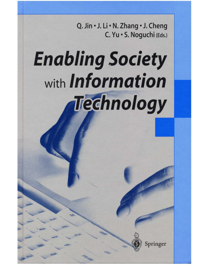Q. Jin . J. Li . N. Zhang . J. Cheng C. Yu . S. Noguchi (Eds.)

# **Enabling Society** with Information Technology

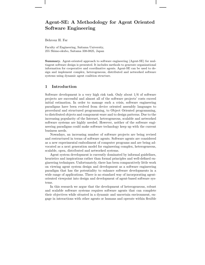# **Agent-SE: A Methodology for Agent Oriented Software Engineering**

Behrouz H. Far

Faculty of Engineering, Saitama University, 255 Shimo-okubo, Saitama 338-0825, Japan

**Summary.** Agent-oriented approach to software engineering (Agent-SE) for multiagent software design is presented. It includes methods to generate organizational information for cooperative and coordinative agents. Agent-SE can be used to design and implement complex, heterogeneous, distributed and networked software systems using dynamic agent coalition structure.

# **1 Introduction**

Software development is a very high risk task. Only about 1/6 of software projects are successful and almost all of the software projects' costs exceed initial estimation. In order to manage such a crisis, software engineering paradigms have been evolved from device oriented assembly languages to procedural and structured programming, to Object Oriented programming, to distributed objects and component-ware and to design patterns. Due to the increasing popularity of the Internet, heterogeneous, scalable and networked software systems are highly needed. However, neither of the software engineering paradigms could make software technology keep up with the current business needs.

Nowadays, an increasing number of software projects are being revised and restructured in terms of software agents. Software agents are considered as a new experimental embodiment of computer programs and are being advocated as a next generation model for engineering complex, heterogeneous, scalable, open, distributed and networked systems.

Agent system development is currently dominated by informal guidelines, heuristics and inspirations rather than formal principles and well-defined engineering techniques. Unfortunately, there has been comparatively little work on viewing agent system design and development as a software engineering paradigm that has the potentiality to enhance software developments in a wide range of applications. There is no standard way of incorporating agentoriented viewpoint into design and development of agent-based software systems.

In this research we argue that the development of heterogeneous, robust and scalable software systems requires software agents that can complete their objectives while situated in a dynamic and uncertain environment, engage in interactions with other agents or humans and operate within flexible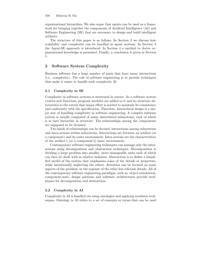organizational hierarchies. We also argue that agents can be used as a framework for bringing together the components of Artificial Intelligence (AI) and Software Engineering (SE) that are necessary to design and build intelligent artifacts.

The structure of this paper is as follows. In Section 2 we discuss how scalability and complexity can be handled in agent systems. In Section 3 the Agent-SE approach is introduced. In Section 4 a method to derive organizational knowledge is presented. Finally, a conclusion is given in Section 5.

# **2 Software System Complexity**

Business software has a large number of parts that have many interactions (i.e., complexity). The role of software engineering is to provide techniques that make it easier to handle such complexity [6].

#### **2.1 Complexity in SE**

Complexity in software systems is structural in nature. As a software system evolves new functions, program modules are added to it and its structure deteriorates to the extent that major effort is needed to maintain its consistency and conformity with the specification. Therefore, hierarchical design is a major way of handling complexity in software engineering. A complex software system is usually composed of many interrelated subsystems, each of which is in turn hierarchic in structure. The relationships among the components are supposed to be dynamic.

Two kinds of relationships can be devised: interactions among subsystems and intra-actions within subsystems. Interactions are between an artifact (or a component) and its outer environment. Intra-actions are the characteristics of the artifact's (or a component's) inner environment.

Contemporary software engineering techniques can manage only the intraactions using decomposition and abstraction techniques. Decomposition is dividing a large problem into smaller, more manageable units each of which can then be dealt with in relative isolation. Abstraction is to define a simplified model of the system that emphasizes some of the details or properties, while intentionally neglecting the others. Attention can be focused on some aspects of the problem, at the expense of the other less relevant details. All of the contemporary software engineering paradigm, such as: object-orientation, component-ware, design patterns and software architectures provide techniques for decomposition and abstraction.

#### **2.2 Complexity in AI**

Complexity in AI is handled via using ontologies and applying synthesis techniques. Ontology in AI refers to a set of concepts or terms that can be used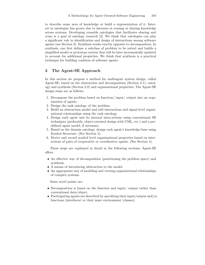to describe some area of knowledge or build a representation of it. Interest in ontologies has grown due to interests in reusing or sharing knowledge across systems. Developing reusable ontologies that facilitates sharing and reuse is a goal of ontology research [2]. We think that ontologies can play a significant role in identification and design of interactions among software agents (see Section 3). Synthesis works exactly opposite to decomposition. In synthesis, one first defines a subclass of problem to be solved and builds a simplified model or prototype system that will be later incrementally updated to account for additional properties. We think that synthesis is a practical technique for building coalition of software agents.

# **3 The Agent-SE Approach**

In this section we propose a method for multiagent system design, called Agent-SE, based on the abstraction and decomposition (Section 2.1), ontology and synthesis (Section 2.2) and organizational properties. The Agent-SE design steps are as follows:

- 1. Decompose the problem based on function/ input/ output into an organization of agents.
- 2. Design the task ontology of the problem.
- 3. Build an abstraction model and add interactions and signal level organizational relationships using the task ontology.
- 4. Design each agent and its internal intra-actions using conventional SE techniques (preferably, object-oriented design with UML, etc.) and a predefined agent model, if necessary.
- 5. Based on the domain ontology, design each agent's knowledge-base using Symbol Structure. (See Section 4).
- 6. Derive and record symbol level organizational properties based on interactions of pairs of cooperative or coordinative agents. (See Section 4).

These steps are explained in detail in the following sections. Agent-SE offers:

- An effective way of decomposition (partitioning the problem space) and synthesis.
- A means of introducing abstraction to the model.
- An appropriate way of modeling and viewing organizational relationships of complex systems.

Some novel points are:

- Decomposition is based on the function and input/ output rather than conventional data/object.
- Participating agents are described by specifying their input/output and/or functions (interfaces) or their inner environment (classes).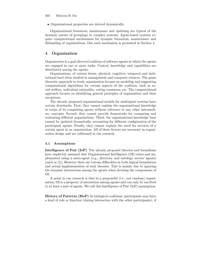• Organizational properties are derived dynamically.

Organizational formation, maintenance and updating are typical of the dynamic nature of groupings in complex systems. Agent-based systems require computational mechanisms for dynamic formation, maintenance and disbanding of organizations. One such mechanism is presented in Section 4.

# **4 Organization**

Organization is a goal directed coalition of software agents in which the agents are engaged in one or more tasks. Control, knowledge and capabilities are distributed among the agents.

Organizations, of various forms, physical, cognitive, temporal and institutional have been studied in management and computer sciences. The game theoretic approach to study organization focuses on modeling and suggesting computational algorithms for certain aspects of the coalition, such as social welfare, individual rationality, voting consensus, etc. The computational approach focuses on identifying general principles of organization and their exceptions.

The already proposed organizational models for multiagent systems have certain drawbacks. First, they cannot explain the organizational knowledge in terms of its comprising agents without reference to any other intermediary concepts. Second, they cannot provide frameworks for comparing and evaluating different organizations. Third, the organizational knowledge base cannot be updated dynamically, accounting for different configuration of the participant agents. Finally, they cannot explain the need for services of a certain agent in an organization. All of these factors are necessary in organization design and are addressed in our research.

#### **4.1 Assumptions**

**Intelligence of Pair (IoP)** The already proposed theories and formalisms have implicitly assumed that Organizational Intelligence (OI) exists and implemented using a meta-agent (e.g., directory and ontology service agents) (such as [1]). However there are certain difficulties in both logical formulation and actual implementation of such theories. This is mainly due to ignoring the dynamic interactions among the agents when devising the components of OI.

A point in our research is that in a purposeful (i.e., not random) organization, OI is a property of interaction among agents and can only be ascribed to at least a pair of agents. We call this Intelligence of Pair (IoP) assumption.

**History of Patterns (HoP)** In biological coalitions, participants may have a kind of role or function (during interaction with the other participants), if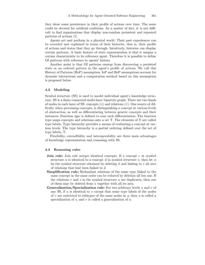they show some persistence in their profile of actions over time. The same could be devised for artificial coalitions. As a matter of fact, it is not difficult to find organizations that display non-random persistent and repeated patterns of actions [1].

Agents act and perform in a physical world. Their past experiences can be recorded and explained in terms of their histories, that is, their profile of actions and states that they go through. Intuitively, histories can display certain patterns. A basic feature of state representation is that it assigns a certain characteristic to its reference agent. Therefore it is possible to define OI patterns with reference to agents' history.

Another point is that OI patterns emerge from discovering a persisted state or an ordered pattern in the agent's profile of actions. We call this History of Patterns (HoP) assumption. IoP and HoP assumptions account for dynamic interactions and a computation method based on this assumption is proposed below.

#### **4.2 Modeling**

Symbol structure (SS) is used to model individual agent's knowledge structure. SS is a finite connected multi-layer bipartite graph. There are two kinds of nodes in each layer of SS: concepts (*c*) and relations (*r* ). One source of difficulty when processing concepts, is distinguishing a concept at various levels of abstraction, as well as differentiating between generic concepts and their instances. Function *type* is defined to ease such differentiation. The function type maps concepts and relations onto a set T. The elements of T are called type labels. Type hierarchy provides a means of evaluating a concept at various levels. The type hierarchy is a partial ordering defined over the set of type labels, T.

Flexibility, extendibility and interoperability are three main advantages of knowledge representation and reasoning with SS.

#### **4.3 Reasoning rules**

- **Join rule:** Join rule merges identical concepts. If a concept *c* in symbol structure *u* is identical to a concept *d* in symbol structure *v*, then let *w* be the symbol structure obtained by deleting *d* and linking to *c* all arcs of relations that had been linked to *d*.
- **Simplification rule:** Redundant relations of the same type linked to the same concept in the same order can be reduced by deletion all but one. If the relations *r* and *s* in the symbol structure *u* are duplicates, then one of them may be deleted from *u* together with all its arcs.
- **Generalization/Specialization rule:** For two arbitrary levels *u* and *v* of any SS, if *u* is identical to *v* except that some type labels of the nodes of *v* are restricted to subtypes of the same nodes in *u*, then *u* is called a specialization of *v*, and *v* is called a generalization of *u*.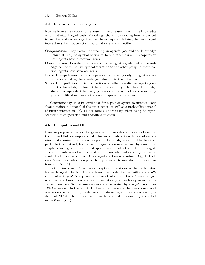#### **4.4 Interaction among agents**

Now we have a framework for representing and reasoning with the knowledge on an individual agent basis. Knowledge sharing by moving from one agent to another and on an organizational basis requires defining the basic agent interactions, i.e., cooperation, coordination and competition.

- **Cooperation:** Cooperation is revealing an agent's goal and the knowledge behind it, i.e., its symbol structure to the other party. In cooperation both agents have a common goals.
- **Coordination:** Coordination is revealing an agent's goals and the knowledge behind it, i.e., its symbol structure to the other party. In coordination, agents have separate goals.
- **Loose Competition:** Loose competition is revealing only an agent's goals but encapsulating the knowledge behind it to the other party.
- **Strict Competition:** Strict competition is neither revealing an agent's goals nor the knowledge behind it to the other party. Therefore, knowledge sharing is equivalent to merging two or more symbol structures using join, simplification, generalization and specialization rules.

Conventionally, it is believed that for a pair of agents to interact, each should maintain a model of the other agent, as well as a probabilistic model of future interactions [5]. This is totally unnecessary when using SS representation in cooperation and coordination cases.

#### **4.5 Computational OI**

Here we propose a method for generating organizational concepts based on the IoP and HoP assumptions and definitions of interaction. In case of *cooperation* and *coordination* the agent's private knowledge is exposed to the other party. In this method, first, a pair of agents are selected and by using join, simplification, generalization and specialization rules their SS are merged. There are finite sets of *actions* and *states* associated with each agent. Given a set of all possible actions, A, an agent's action is a subset  $B \subseteq A$ . Each agent's state transition is represented by a non-deterministic finite state automaton (NFSA).

Both *actions* and *states* take concepts and relations as their attributes. For each agent, the NFSA state transition model has an initial state *idle* and final state *goal*. A sequence of actions that convert the *idle* state to *goal* is a plan of actions towards a goal. Theoretically, all such sequences form a *regular language (RL)* whose elements are generated by a *regular grammar (RG)* equivalent to the NFSA. Furthermore, there may be various modes of operation (i.e., authority mode, subordinate mode, etc.) each modeled by a different NFSA. The proper mode may be selected by examining the select mode (See Fig. 1).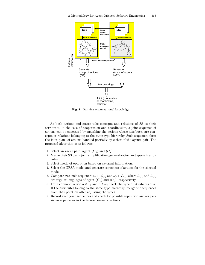

**Fig. 1.** Deriving organizational knowledge

As both actions and states take concepts and relations of SS as their attributes, in the case of cooperation and coordination, a joint sequence of actions can be generated by matching the actions whose attributes are concepts or relations belonging to the same type hierarchy. Such sequences form the joint plans of actions handled partially by either of the agents pair. The proposed algorithm is as follows:

- 1. Select an agent pair, Agent  $(G_1)$  and  $(G_2)$ .
- 2. Merge their SS using join, simplification, generalization and specialization rules.
- 3. Select mode of operation based on external information.
- 4. Select the NFSA model and generate sequences of actions for the selected mode.
- 5. Compare two such sequences  $\omega_i \in \mathcal{L}_{G_1}$  and  $\omega_j \in \mathcal{L}_{G_2}$  where  $\mathcal{L}_{G_1}$  and  $\mathcal{L}_{G_2}$ are regular languages of agent  $(G_1)$  and  $(G_2)$ , respectively.
- 6. For a common action  $a \in \omega_i$  and  $a \in \omega_j$  check the type of attributes of a. If the attributes belong to the same type hierarchy, merge the sequences from that point on after adjusting the types.
- 7. Record such joint sequences and check for possible repetition and/or persistence patterns in the future course of actions.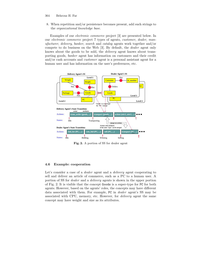#### 364 Behrouz H. Far

8. When repetition and/or persistence becomes present, add such strings to the *organizational knowledge base*.

Examples of our *electronic commerce* project [3] are presented below. In our *electronic commerce* project 7 types of agents, *customer*, *dealer*, *manufacturer*, *delivery*, *banker*, *search* and *catalog* agents work together and/or compete to do business on the Web [3]. By default, the *dealer* agent only knows about the goods to be sold, the *delivery* agent knows about transporting goods, *banker* agent has information on customers and their credit and/or cash accounts and *customer* agent is a personal assistant agent for a human user and has information on the user's preferences, etc.



**Fig. 2.** A portion of SS for dealer agent

#### **4.6 Example: cooperation**

Let's consider a case of a *dealer* agent and a *delivery* agent cooperating to sell and deliver an article of commerce, such as a PC to a human user. A portion of SS for *dealer* and a *delivery* agents is shown in the upper portion of Fig. 2. It is visible that the concept Goods is a super-type for PC for both agents. However, based on the agents' roles, the concepts may have different data associated with them. For example, PC in *dealer* agent's SS may be associated with CPU, memory, etc. However, for *delivery* agent the same concept may have weight and size as its attributes.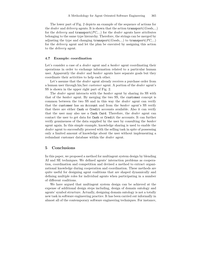The lower part of Fig. 2 depicts an example of the sequence of actions for the *dealer* and *delivery* agents. It is shown that the action transport(*Goods*,...) for the *delivery* and transport(*PC*,...) for the *dealer* agents have attributes belonging to the same type hierarchy. Therefore, the strings can be merged by adjusting the type and changing transport(*Goods*,...) to transport(*PC*,...) for the *delivery* agent and let the plan be executed by assigning this action to the *delivery* agent.

#### **4.7 Example: coordination**

Let's consider a case of a *dealer* agent and a *banker* agent coordinating their operations in order to exchange information related to a particular human user. Apparently the *dealer* and *banker* agents have separate goals but they coordinate their activities to help each other.

Let's assume that the *dealer* agent already receives a purchase order from a human user through his/her *customer* agent. A portion of the *dealer* agent's SS is shown in the upper right part of Fig. 2.

The *dealer* agent interacts with the *banker* agent by sharing its SS with that of the *banker* agent. By merging the two SS, the customer concept is common between the two SS and in this way the *dealer* agent can verify that the customer has an Account and from the *banker* agent's SS verify that there are either Cash or Credit accounts available. Also it can verify that the user may also use a Cash Card. Therefore, the *dealer* agent can contact the user to get data for Cash or Credit the accounts. It can further verify genuineness of the data supplied by the user by consulting the *banker* agent again. In this simple example, knowledge sharing is used to enable the *dealer* agent to successfully proceed with the selling task in spite of possessing only a limited amount of knowledge about the user without implementing a redundant customer database within the *dealer* agent.

#### **5 Conclusions**

In this paper, we proposed a method for multiagent system design by blending AI and SE techniques. We defined agents' interaction problems as cooperation, coordination and competition and devised a method to extract organizational knowledge during cooperation and coordination. These methods are quite useful for designing agent coalitions that are shaped dynamically and defining multiple roles for individual agents when participating in a number of different coalitions.

We have argued that multiagent system design can be achieved at the expense of additional design steps including, design of domain ontology and agents' symbol structure. Actually, designing domain ontology is not a totally new task in software engineering practice. It has been carried out informally in almost all of the contemporary software engineering techniques. For instance,